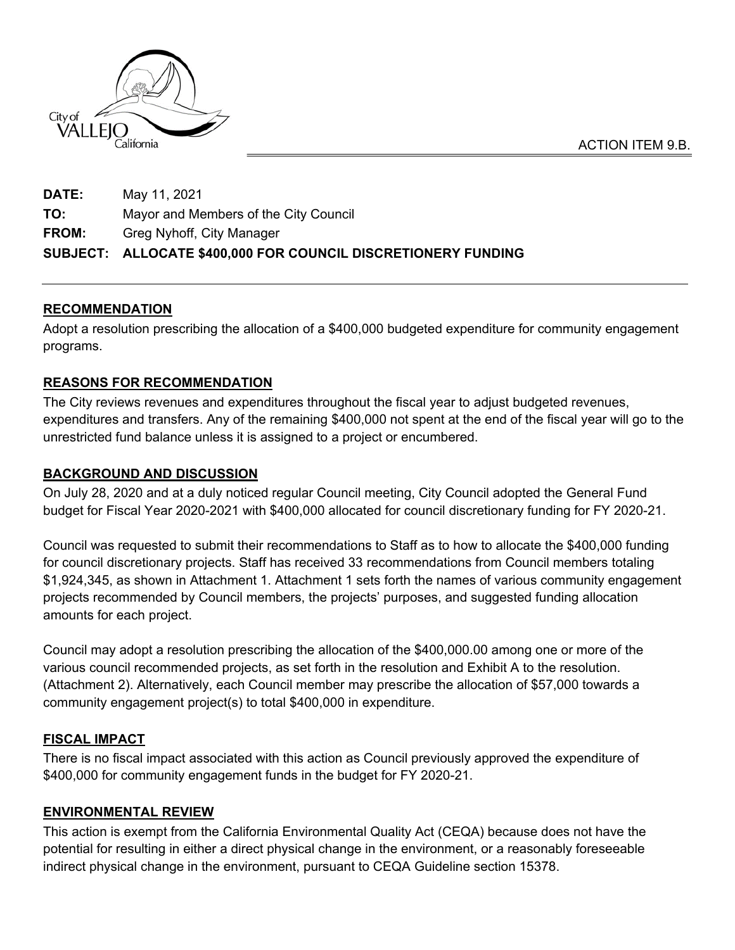

**DATE:** May 11, 2021 **TO:** Mayor and Members of the City Council **FROM:** Greg Nyhoff, City Manager **SUBJECT: ALLOCATE \$400,000 FOR COUNCIL DISCRETIONERY FUNDING**

# **RECOMMENDATION**

Adopt a resolution prescribing the allocation of a \$400,000 budgeted expenditure for community engagement programs.

# **REASONS FOR RECOMMENDATION**

The City reviews revenues and expenditures throughout the fiscal year to adjust budgeted revenues, expenditures and transfers. Any of the remaining \$400,000 not spent at the end of the fiscal year will go to the unrestricted fund balance unless it is assigned to a project or encumbered.

# **BACKGROUND AND DISCUSSION**

On July 28, 2020 and at a duly noticed regular Council meeting, City Council adopted the General Fund budget for Fiscal Year 2020-2021 with \$400,000 allocated for council discretionary funding for FY 2020-21.

Council was requested to submit their recommendations to Staff as to how to allocate the \$400,000 funding for council discretionary projects. Staff has received 33 recommendations from Council members totaling \$1,924,345, as shown in Attachment 1. Attachment 1 sets forth the names of various community engagement projects recommended by Council members, the projects' purposes, and suggested funding allocation amounts for each project.

Council may adopt a resolution prescribing the allocation of the \$400,000.00 among one or more of the various council recommended projects, as set forth in the resolution and Exhibit A to the resolution. (Attachment 2). Alternatively, each Council member may prescribe the allocation of \$57,000 towards a community engagement project(s) to total \$400,000 in expenditure.

## **FISCAL IMPACT**

There is no fiscal impact associated with this action as Council previously approved the expenditure of \$400,000 for community engagement funds in the budget for FY 2020-21.

## **ENVIRONMENTAL REVIEW**

This action is exempt from the California Environmental Quality Act (CEQA) because does not have the potential for resulting in either a direct physical change in the environment, or a reasonably foreseeable indirect physical change in the environment, pursuant to CEQA Guideline section 15378.